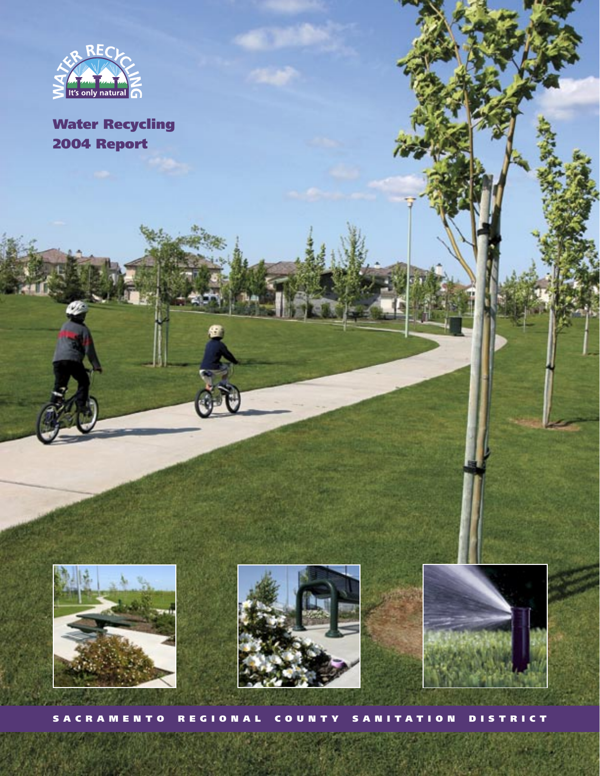

# Water Recycling 2004 Report







S A C R A M E N T O R E G I O N A L C O U N T Y S A N I T A T I O N D I S T R I C T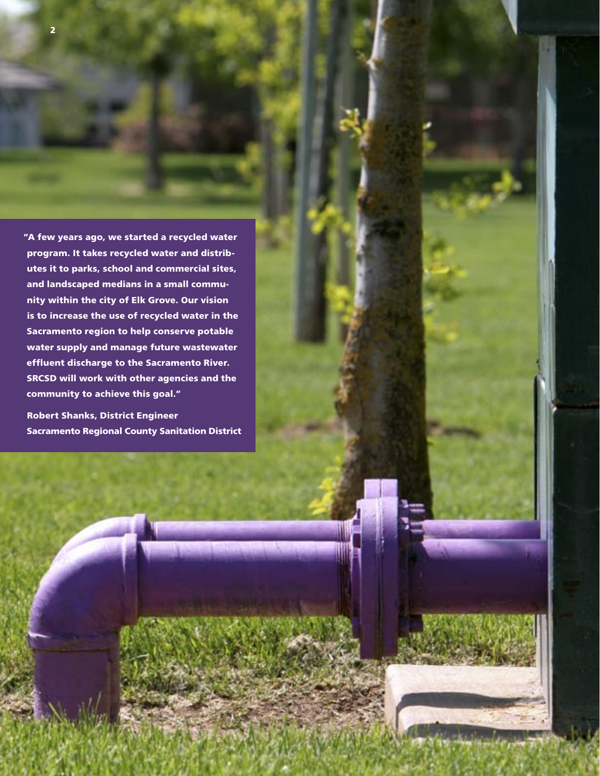"A few years ago, we started a recycled water program. It takes recycled water and distributes it to parks, school and commercial sites, and landscaped medians in a small community within the city of Elk Grove. Our vision is to increase the use of recycled water in the Sacramento region to help conserve potable

water supply and manage future wastewater effluent discharge to the Sacramento River. SRCSD will work with other agencies and the community to achieve this goal."

Robert Shanks, District Engineer Sacramento Regional County Sanitation District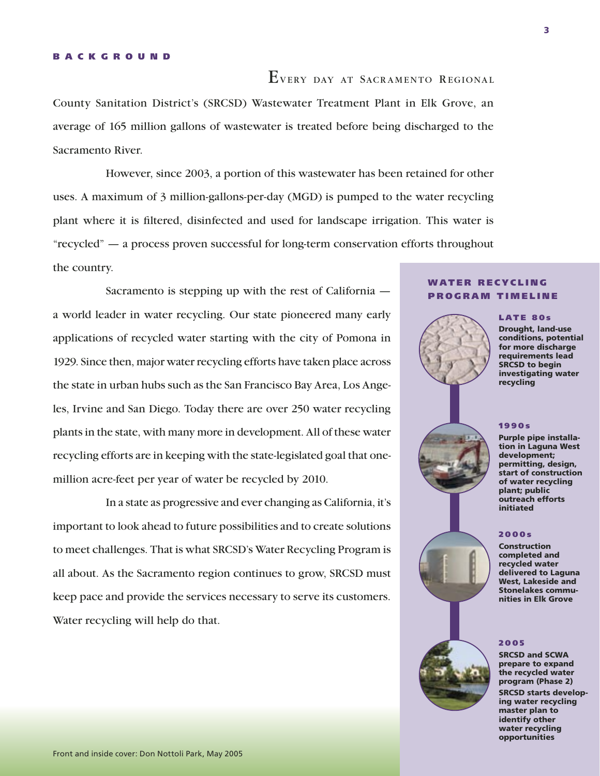#### B A C K G R O U N D

EVERY DAY AT SACRAMENTO REGIONAL

County Sanitation District's (SRCSD) Wastewater Treatment Plant in Elk Grove, an average of 165 million gallons of wastewater is treated before being discharged to the Sacramento River.

However, since 2003, a portion of this wastewater has been retained for other uses. A maximum of 3 million-gallons-per-day (MGD) is pumped to the water recycling plant where it is filtered, disinfected and used for landscape irrigation. This water is "recycled" — a process proven successful for long-term conservation efforts throughout the country.

Sacramento is stepping up with the rest of California a world leader in water recycling. Our state pioneered many early applications of recycled water starting with the city of Pomona in 1929. Since then, major water recycling efforts have taken place across the state in urban hubs such as the San Francisco Bay Area, Los Angeles, Irvine and San Diego. Today there are over 250 water recycling plants in the state, with many more in development. All of these water recycling efforts are in keeping with the state-legislated goal that onemillion acre-feet per year of water be recycled by 2010.

In a state as progressive and ever changing as California, it's important to look ahead to future possibilities and to create solutions to meet challenges. That is what SRCSD's Water Recycling Program is all about. As the Sacramento region continues to grow, SRCSD must keep pace and provide the services necessary to serve its customers. Water recycling will help do that.

### WATER RECYCLING PROGRAM TIMELINE

#### LATE 80s Drought, land-use conditions, potential for more discharge requirements lead SRCSD to begin investigating water recycling

#### 1990s



Purple pipe installation in Laguna West development; permitting, design, start of construction of water recycling plant; public outreach efforts initiated

### 2 0 0 0 s

Construction completed and recycled water delivered to Laguna West, Lakeside and Stonelakes communities in Elk Grove

#### 2 0 0 5

SRCSD and SCWA prepare to expand the recycled water program (Phase 2) SRCSD starts developing water recycling master plan to identify other water recycling opportunities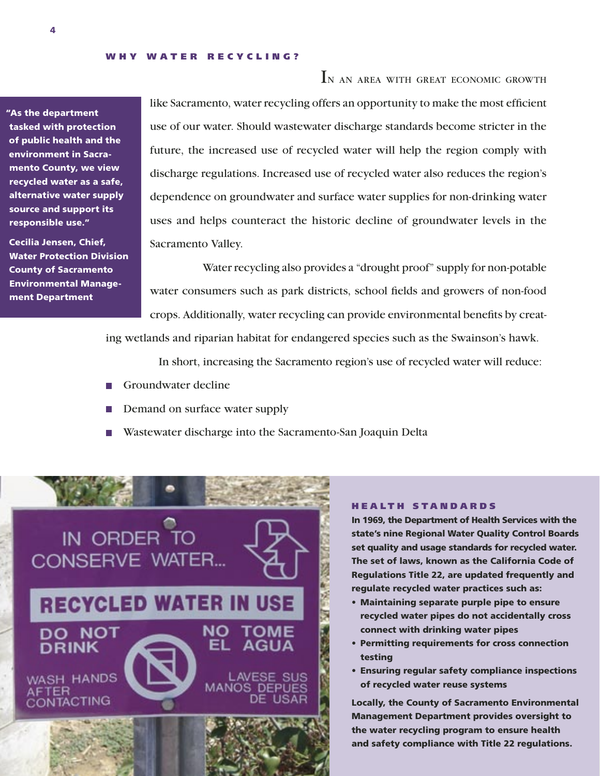"As the department tasked with protection of public health and the environment in Sacramento County, we view recycled water as a safe, alternative water supply source and support its responsible use."

Cecilia Jensen, Chief, Water Protection Division County of Sacramento Environmental Management Department

IN AN AREA WITH GREAT ECONOMIC GROWTH like Sacramento, water recycling offers an opportunity to make the most efficient use of our water. Should wastewater discharge standards become stricter in the future, the increased use of recycled water will help the region comply with discharge regulations. Increased use of recycled water also reduces the region's dependence on groundwater and surface water supplies for non-drinking water uses and helps counteract the historic decline of groundwater levels in the Sacramento Valley.

Water recycling also provides a "drought proof" supply for non-potable water consumers such as park districts, school fields and growers of non-food crops. Additionally, water recycling can provide environmental benefits by creat-

ing wetlands and riparian habitat for endangered species such as the Swainson's hawk.

In short, increasing the Sacramento region's use of recycled water will reduce:

- Groundwater decline
- Demand on surface water supply
- Wastewater discharge into the Sacramento-San Joaquin Delta



#### **HEALTH STANDARDS**

In 1969, the Department of Health Services with the state's nine Regional Water Quality Control Boards set quality and usage standards for recycled water. The set of laws, known as the California Code of Regulations Title 22, are updated frequently and regulate recycled water practices such as:

- Maintaining separate purple pipe to ensure recycled water pipes do not accidentally cross connect with drinking water pipes
- Permitting requirements for cross connection testing
- Ensuring regular safety compliance inspections of recycled water reuse systems

Locally, the County of Sacramento Environmental Management Department provides oversight to the water recycling program to ensure health and safety compliance with Title 22 regulations.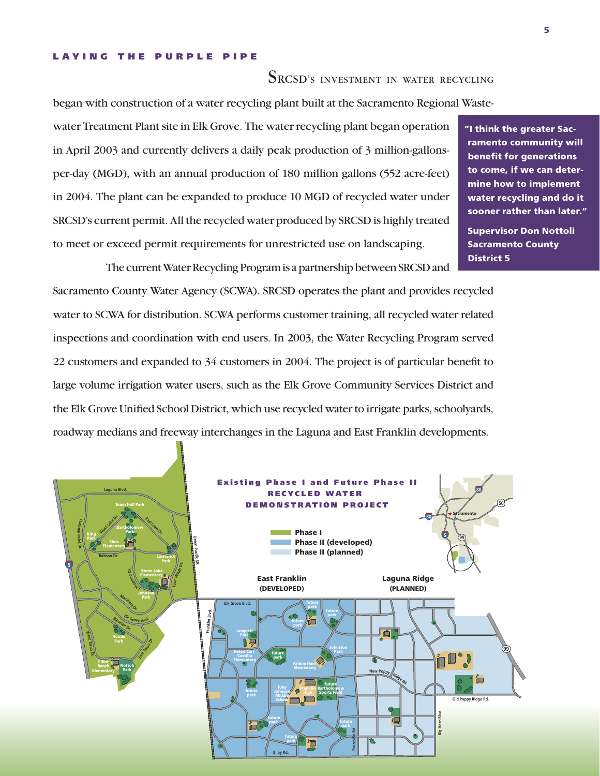#### LAYING THE PURPLE PIPE

# SRCSD'S INVESTMENT IN WATER RECYCLING

began with construction of a water recycling plant built at the Sacramento Regional Waste-

water Treatment Plant site in Elk Grove. The water recycling plant began operation in April 2003 and currently delivers a daily peak production of 3 million-gallonsper-day (MGD), with an annual production of 180 million gallons (552 acre-feet) in 2004. The plant can be expanded to produce 10 MGD of recycled water under SRCSD's current permit. All the recycled water produced by SRCSD is highly treated to meet or exceed permit requirements for unrestricted use on landscaping.

The current Water Recycling Program is a partnership between SRCSD and Sacramento County Water Agency (SCWA). SRCSD operates the plant and provides recycled water to SCWA for distribution. SCWA performs customer training, all recycled water related inspections and coordination with end users. In 2003, the Water Recycling Program served 22 customers and expanded to 34 customers in 2004. The project is of particular benefit to large volume irrigation water users, such as the Elk Grove Community Services District and the Elk Grove Unified School District, which use recycled water to irrigate parks, schoolyards, roadway medians and freeway interchanges in the Laguna and East Franklin developments.



"I think the greater Sacramento community will benefit for generations to come, if we can determine how to implement water recycling and do it sooner rather than later."

Supervisor Don Nottoli Sacramento County District 5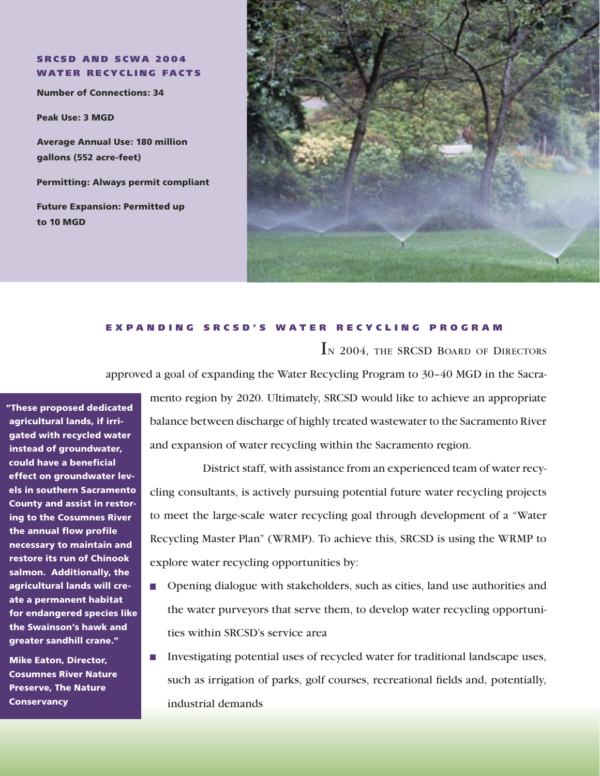**SRCSD AND SCWA 2004 WATER RECYCLING FACTS** 

Number of Connections: 34

Peak Use: 3 MGD

Average Annual Use: 180 million gallons (552 acre-feet)

Permitting: Always permit compliant

Future Expansion: Permitted up to 10 MGD



# E X P A N D I N G S R C S D ' S W A T E R R E C Y C L I N G P R O G R A M

IN 2004, THE SRCSD BOARD OF DIRECTORS

approved a goal of expanding the Water Recycling Program to 30–40 MGD in the Sacra-

"These proposed dedicated agricultural lands, if irrigated with recycled water instead of groundwater, could have a beneficial effect on groundwater levels in southern Sacramento County and assist in restoring to the Cosumnes River the annual flow profile necessary to maintain and restore its run of Chinook salmon. Additionally, the agricultural lands will create a permanent habitat for endangered species like the Swainson's hawk and greater sandhill crane."

Mike Eaton, Director, Cosumnes River Nature Preserve, The Nature **Conservancy** 

mento region by 2020. Ultimately, SRCSD would like to achieve an appropriate balance between discharge of highly treated wastewater to the Sacramento River and expansion of water recycling within the Sacramento region.

District staff, with assistance from an experienced team of water recycling consultants, is actively pursuing potential future water recycling projects to meet the large-scale water recycling goal through development of a "Water Recycling Master Plan" (WRMP). To achieve this, SRCSD is using the WRMP to explore water recycling opportunities by:

- **Depending Dialogue with stakeholders, such as cities, land use authorities and** the water purveyors that serve them, to develop water recycling opportunities within SRCSD's service area
- Investigating potential uses of recycled water for traditional landscape uses, such as irrigation of parks, golf courses, recreational fields and, potentially, industrial demands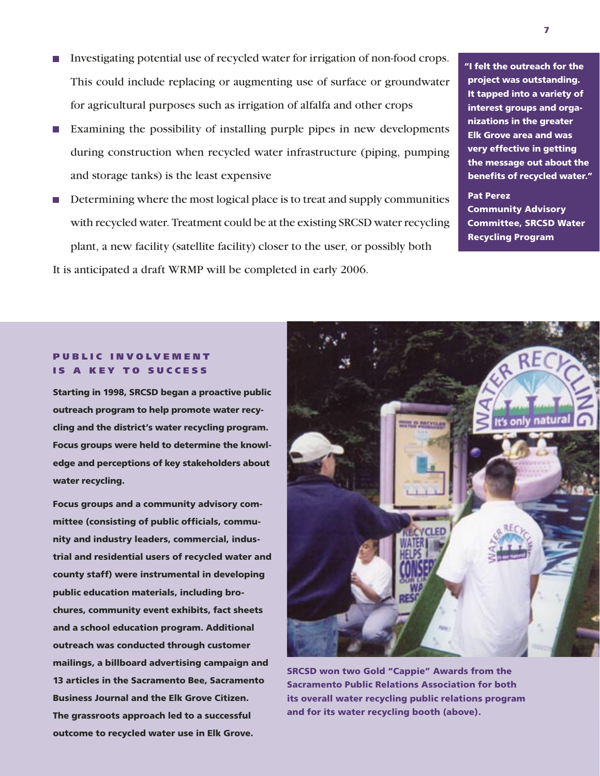- Investigating potential use of recycled water for irrigation of non-food crops. This could include replacing or augmenting use of surface or groundwater for agricultural purposes such as irrigation of alfalfa and other crops
- Examining the possibility of installing purple pipes in new developments during construction when recycled water infrastructure (piping, pumping and storage tanks) is the least expensive
- Determining where the most logical place is to treat and supply communities with recycled water. Treatment could be at the existing SRCSD water recycling plant, a new facility (satellite facility) closer to the user, or possibly both It is anticipated a draft WRMP will be completed in early 2006.

"I felt the outreach for the project was outstanding. It tapped into a variety of interest groups and organizations in the greater Elk Grove area and was very effective in getting the message out about the benefits of recycled water."

Pat Perez Community Advisory Committee, SRCSD Water Recycling Program

## PUBLIC INVOLVEMENT IS A KEY TO SUCCESS

Starting in 1998, SRCSD began a proactive public outreach program to help promote water recycling and the district's water recycling program. Focus groups were held to determine the knowledge and perceptions of key stakeholders about water recycling.

Focus groups and a community advisory committee (consisting of public officials, community and industry leaders, commercial, industrial and residential users of recycled water and county staff) were instrumental in developing public education materials, including brochures, community event exhibits, fact sheets and a school education program. Additional outreach was conducted through customer mailings, a billboard advertising campaign and 13 articles in the Sacramento Bee, Sacramento Business Journal and the Elk Grove Citizen. The grassroots approach led to a successful outcome to recycled water use in Elk Grove.



SRCSD won two Gold "Cappie" Awards from the Sacramento Public Relations Association for both its overall water recycling public relations program and for its water recycling booth (above).